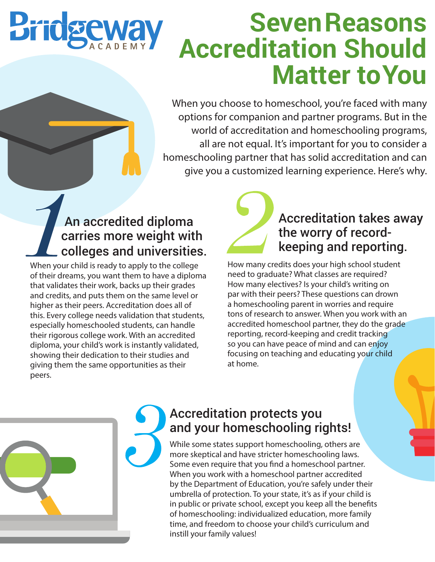

# **Seven Reasons Accreditation Should Matter to You**

When you choose to homeschool, you're faced with many options for companion and partner programs. But in the world of accreditation and homeschooling programs, all are not equal. It's important for you to consider a homeschooling partner that has solid accreditation and can give you a customized learning experience. Here's why.

# An accredited diploma carries more weight with colleges and universities.

When your child is ready to apply to the college of their dreams, you want them to have a diploma that validates their work, backs up their grades and credits, and puts them on the same level or higher as their peers. Accreditation does all of this. Every college needs validation that students, especially homeschooled students, can handle their rigorous college work. With an accredited diploma, your child's work is instantly validated, showing their dedication to their studies and giving them the same opportunities as their peers.



# Accreditation takes away the worry of recordkeeping and reporting.

How many credits does your high school student need to graduate? What classes are required? How many electives? Is your child's writing on par with their peers? These questions can drown a homeschooling parent in worries and require tons of research to answer. When you work with an accredited homeschool partner, they do the grade reporting, record-keeping and credit tracking so you can have peace of mind and can enjoy focusing on teaching and educating your child at home.



# Accreditation protects you and your homeschooling rights!

While some states support homeschooling, others are more skeptical and have stricter homeschooling laws. Some even require that you find a homeschool partner. When you work with a homeschool partner accredited by the Department of Education, you're safely under their umbrella of protection. To your state, it's as if your child is in public or private school, except you keep all the benefits of homeschooling: individualized education, more family time, and freedom to choose your child's curriculum and instill your family values!